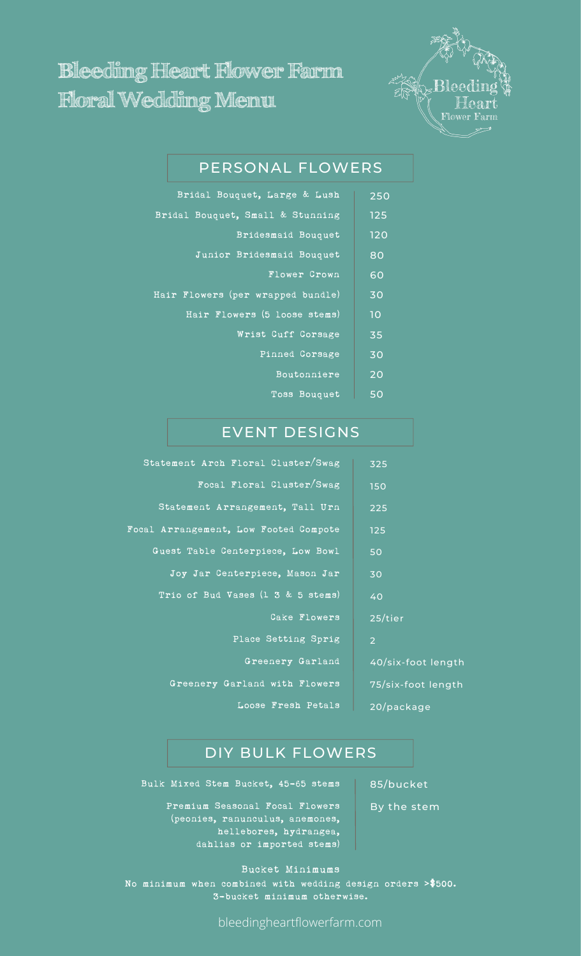## **Bleeding Heart Flower Farm Floral Wedding Menu**



## PERSONAL FLOWERS

| Bridal Bouquet, Large & Lush      | 250 |
|-----------------------------------|-----|
| Bridal Bouquet, Small & Stunning  | 125 |
| Bridesmaid Bouquet                | 120 |
| Junior Bridesmaid Bouquet         | 80  |
| <b>Flower Crown</b>               | 60  |
| Hair Flowers (per wrapped bundle) | 30  |
| Hair Flowers (5 loose stems)      | 10  |
| Wrist Cuff Corsage                | 35  |
| Pinned Corsage                    | 30  |
| Boutonniere                       | 20  |
| Toss Bouquet                      | 50  |

## EVENT DESIGNS

| Statement Arch Floral Cluster/Swag    | 325            |
|---------------------------------------|----------------|
| Focal Floral Cluster/Swag             | 150            |
| Statement Arrangement, Tall Urn       | 225            |
| Focal Arrangement, Low Footed Compote | 125            |
| Guest Table Centerpiece, Low Bowl     | 50             |
| Joy Jar Centerpiece, Mason Jar        | 30             |
| Trio of Bud Vases (1 3 & 5 stems)     | 40             |
| Cake Flowers                          | 25/ti          |
| Place Setting Sprig                   | $\overline{2}$ |
| Greenery Garland                      | 40/si          |
| Greenery Garland with Flowers         | 75/si          |
| Loose Fresh Petals                    | 20/pc          |

# 25/tier  $k$ -foot length

75/six-foot length ckage

### DIY BULK FLOWERS

Bulk Mixed Stem Bucket, 45-65 stems | 85/bucket

Premium Seasonal Focal Flowers (peonies, ranunculus, anemones, hellebores, hydrangea, dahlias or imported stems)

Bucket Minimums No minimum when combined with wedding design orders **>**\$500. 3-bucket minimum otherwise.

bleedingheartflowerfarm.com

By the stem